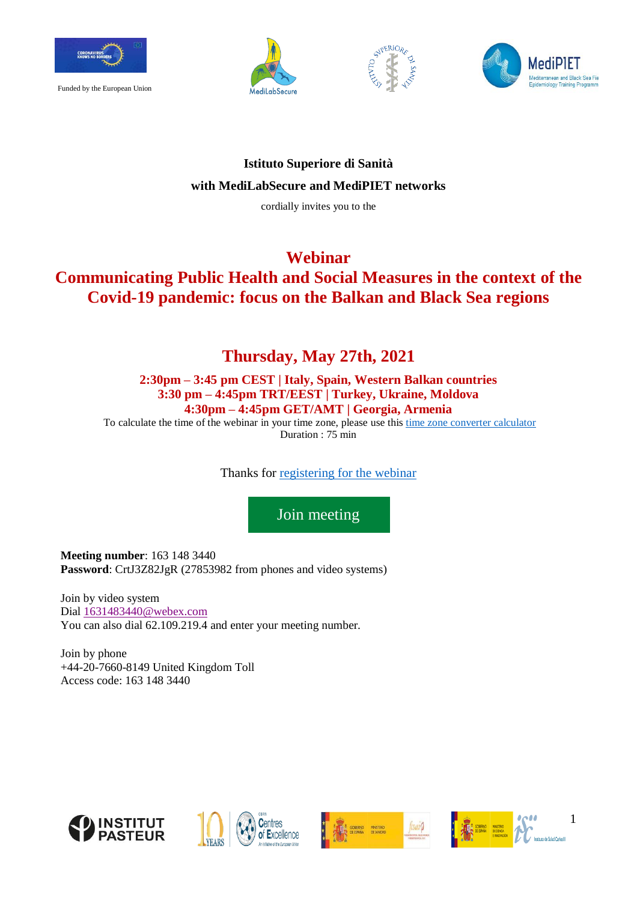

Funded by the European Union







### **Istituto Superiore di Sanità with MediLabSecure and MediPIET networks**

cordially invites you to the

### **Webinar**

# **Communicating Public Health and Social Measures in the context of the Covid-19 pandemic: focus on the Balkan and Black Sea regions**

## **Thursday, May 27th, 2021**

### **2:30pm – 3:45 pm CEST | Italy, Spain, Western Balkan countries 3:30 pm – 4:45pm TRT/EEST | Turkey, Ukraine, Moldova 4:30pm – 4:45pm GET/AMT | Georgia, Armenia**

To calculate the time of the webinar in your time zone, please use this [time zone converter calculator](https://www.timeanddate.com/worldclock/converter.html?iso=20210527T123000&p1=215&p2=284&p3=691&p4=35&p5=744&p6=743&p7=673&p8=141&p9=107&p10=371&p11=370&p12=177) Duration : 75 min

Thanks for [registering for the webinar](https://docs.google.com/forms/d/1L70FpNCxvn2Tcy2hiy78ZM410Chi5UICaeKUvpigzJc/edit)

[Join meeting](https://fcsai.my.webex.com/fcsai.my-en/j.php?MTID=m50fd235f0a229f4974f74742b0d4334c)

**Meeting number**: 163 148 3440 **Password**: CrtJ3Z82JgR (27853982 from phones and video systems)

Join by video system Dial [1631483440@webex.com](mailto:1631483440@webex.com) You can also dial 62.109.219.4 and enter your meeting number.

Join by phone +44-20-7660-8149 United Kingdom Toll Access code: 163 148 3440









1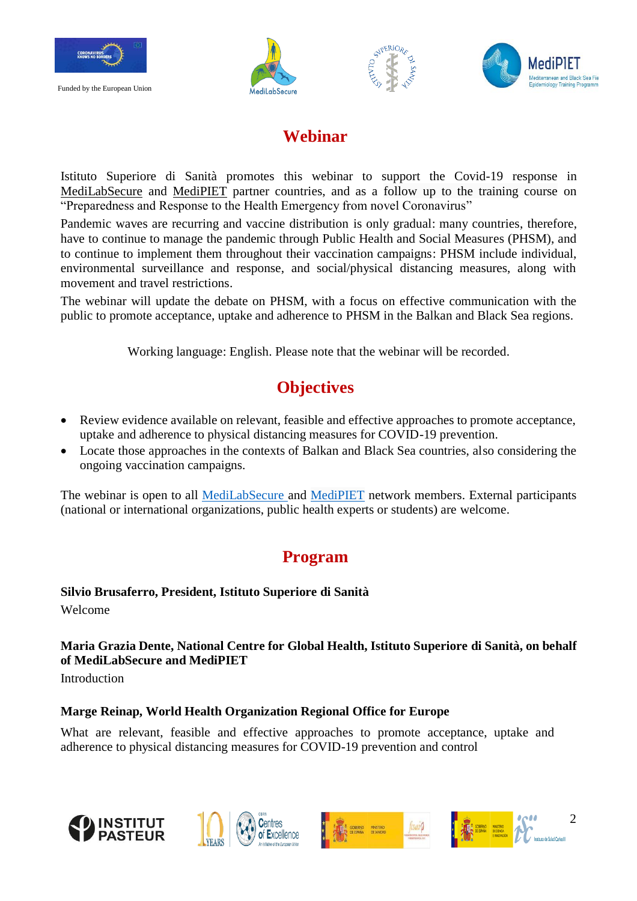

Funded by the European Union







## **Webinar**

Istituto Superiore di Sanità promotes this webinar to support the Covid-19 response in [MediLabSecure](https://www.medilabsecure.com/) and [MediPIET](https://medipiet.org/) partner countries, and as a follow up to the training course on "Preparedness and Response to the Health Emergency from novel Coronavirus"

Pandemic waves are recurring and vaccine distribution is only gradual: many countries, therefore, have to continue to manage the pandemic through Public Health and Social Measures (PHSM), and to continue to implement them throughout their vaccination campaigns: PHSM include individual, environmental surveillance and response, and social/physical distancing measures, along with movement and travel restrictions.

The webinar will update the debate on PHSM, with a focus on effective communication with the public to promote acceptance, uptake and adherence to PHSM in the Balkan and Black Sea regions.

Working language: English. Please note that the webinar will be recorded.

# **Objectives**

- Review evidence available on relevant, feasible and effective approaches to promote acceptance, uptake and adherence to physical distancing measures for COVID-19 prevention.
- Locate those approaches in the contexts of Balkan and Black Sea countries, also considering the ongoing vaccination campaigns.

The webinar is open to all [MediLabSecure](https://www.medilabsecure.com/project.html) and [MediPIET](https://medipiet.org/) network members. External participants (national or international organizations, public health experts or students) are welcome.

# **Program**

**Silvio Brusaferro, President, Istituto Superiore di Sanità** Welcome

## **Maria Grazia Dente, National Centre for Global Health, Istituto Superiore di Sanità, on behalf of MediLabSecure and MediPIET**

**Introduction** 

### **Marge Reinap, World Health Organization Regional Office for Europe**

What are relevant, feasible and effective approaches to promote acceptance, uptake and adherence to physical distancing measures for COVID-19 prevention and control









2